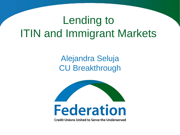## Lending to ITIN and Immigrant Markets

#### Alejandra Seluja CU Breakthrough



**Credit Unions United to Serve the Underserved**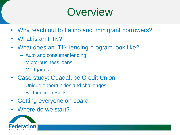#### **Overview**

- Why reach out to Latino and immigrant borrowers?
- What is an ITIN?
- What does an ITIN lending program look like?
	- Auto and consumer lending
	- Micro-business loans
	- Mortgages
- Case study: Guadalupe Credit Union
	- Unique opportunities and challenges
	- Bottom line results
- Getting everyone on board
- Where do we start?

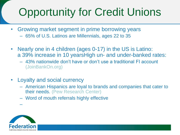# Opportunity for Credit Unions

- Growing market segment in prime borrowing years
	- 65% of U.S. Latinos are Millennials, ages 22 to 35
- Nearly one in 4 children (ages 0-17) in the US is Latino: a 39% increase in 10 yearsHigh un- and under-banked rates:
	- 43% nationwide don't have or don't use a traditional FI account (JoinBankOn.org)
- Loyalty and social currency
	- American Hispanics are loyal to brands and companies that cater to their needs. (Pew Research Center)
	- Word of mouth referrals highly effective



–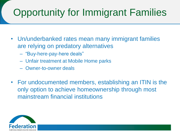#### Opportunity for Immigrant Families

- Un/underbanked rates mean many immigrant families are relying on predatory alternatives
	- "Buy-here-pay-here deals"
	- Unfair treatment at Mobile Home parks
	- Owner-to-owner deals
- For undocumented members, establishing an ITIN is the only option to achieve homeownership through most mainstream financial institutions

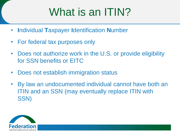## What is an ITIN?

- **I**ndividual **T**axpayer **I**dentification **N**umber
- For federal tax purposes only
- Does not authorize work in the U.S. or provide eligibility for SSN benefits or EITC
- Does not establish immigration status
- By law an undocumented individual cannot have both an ITIN and an SSN (may eventually replace ITIN with SSN)

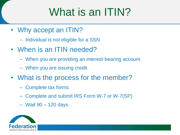## What is an ITIN?

- Why accept an ITIN?
	- Individual is not eligible for a SSN
- When is an ITIN needed?
	- When you are providing an interest-bearing account
	- When you are issuing credit
- What is the process for the member?
	- Complete tax forms
	- Complete and submit IRS Form W-7 or W-7(SP)
	- Wait 90 120 days

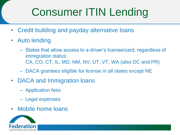## Consumer ITIN Lending

- Credit building and payday alternative loans
- Auto lending
	- States that allow access to a driver's license/card, regardless of immigration status: CA, CO, CT, IL, MD, NM, NV, UT, VT, WA (also DC and PR)
	- DACA grantees eligible for license in all states except NE
- DACA and Immigration loans
	- Application fees
	- Legal expenses
- Mobile home loans

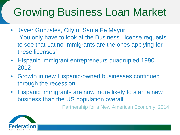## Growing Business Loan Market

- Javier Gonzales, City of Santa Fe Mayor: "You only have to look at the Business License requests to see that Latino Immigrants are the ones applying for these licenses"
- Hispanic immigrant entrepreneurs quadrupled 1990– 2012
- Growth in new Hispanic-owned businesses continued through the recession
- Hispanic immigrants are now more likely to start a new business than the US population overall

Partnership for a New American Economy, 2014

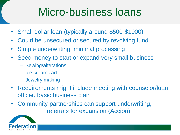## Micro-business loans

- Small-dollar loan (typically around \$500-\$1000)
- Could be unsecured or secured by revolving fund
- Simple underwriting, minimal processing
- Seed money to start or expand very small business
	- Sewing/alterations
	- Ice cream cart
	- Jewelry making
- Requirements might include meeting with counselor/loan officer, basic business plan
- Community partnerships can support underwriting, referrals for expansion (Accion)

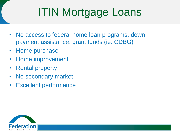# ITIN Mortgage Loans

- No access to federal home loan programs, down payment assistance, grant funds (ie: CDBG)
- Home purchase
- Home improvement
- Rental property
- No secondary market
- **Excellent performance**

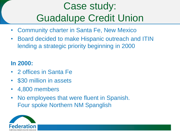#### Case study: Guadalupe Credit Union

- Community charter in Santa Fe, New Mexico
- Board decided to make Hispanic outreach and ITIN lending a strategic priority beginning in 2000

#### **In 2000:**

- 2 offices in Santa Fe
- \$30 million in assets
- 4,800 members
- No employees that were fluent in Spanish. Four spoke Northern NM Spanglish

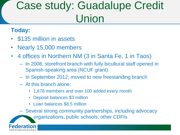## Case study: Guadalupe Credit Union

#### **Today:**

- \$135 million in assets
- Nearly 15,000 members
- 4 offices in Northern NM (3 in Santa Fe, 1 in Taos)
	- In 2008, storefront branch with fully bicultural staff opened in Spanish-speaking area (NCUF grant)
	- In September 2012, moved to new freestanding branch
	- At this branch alone:
		- 1,678 members and over 100 added every month
		- Deposit balances \$3 million
		- Loan balances \$8.5 million
	- Several strong community partnerships, including advocacy

organizations, public schools, other CDFIs

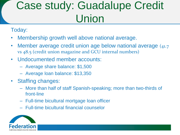## Case study: Guadalupe Credit Union

Today:

- Membership growth well above national average.
- Member average credit union age below national average (41.7) vs 48.5 (credit union magazine and GCU internal numbers)
- Undocumented member accounts:
	- Average share balance: \$1,500
	- Average loan balance: \$13,350
- Staffing changes:
	- More than half of staff Spanish-speaking; more than two-thirds of front-line
	- Full-time bicultural mortgage loan officer
	- Full-time bicultural financial counselor

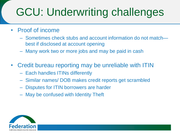## GCU: Underwriting challenges

- Proof of income
	- Sometimes check stubs and account information do not match best if disclosed at account opening
	- Many work two or more jobs and may be paid in cash
- Credit bureau reporting may be unreliable with ITIN
	- Each handles ITINs differently
	- Similar names/ DOB makes credit reports get scrambled
	- Disputes for ITIN borrowers are harder
	- May be confused with Identity Theft

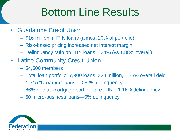## Bottom Line Results

- Guadalupe Credit Union
	- \$16 million in ITIN loans (almost 20% of portfolio)
	- Risk-based pricing increased net interest margin
	- Delinquency ratio on ITIN loans 1.24% (vs 1.88% overall)
- Latino Community Credit Union
	- 54,600 members
	- Total loan portfolio: 7,900 loans, \$34 million, 1.28% overall delq
	- 1,515 "Dreamer" loans—0.82% delinquency
	- 86% of total mortgage portfolio are ITIN—1.16% delinquency
	- 60 micro-business loans—0% delinquency